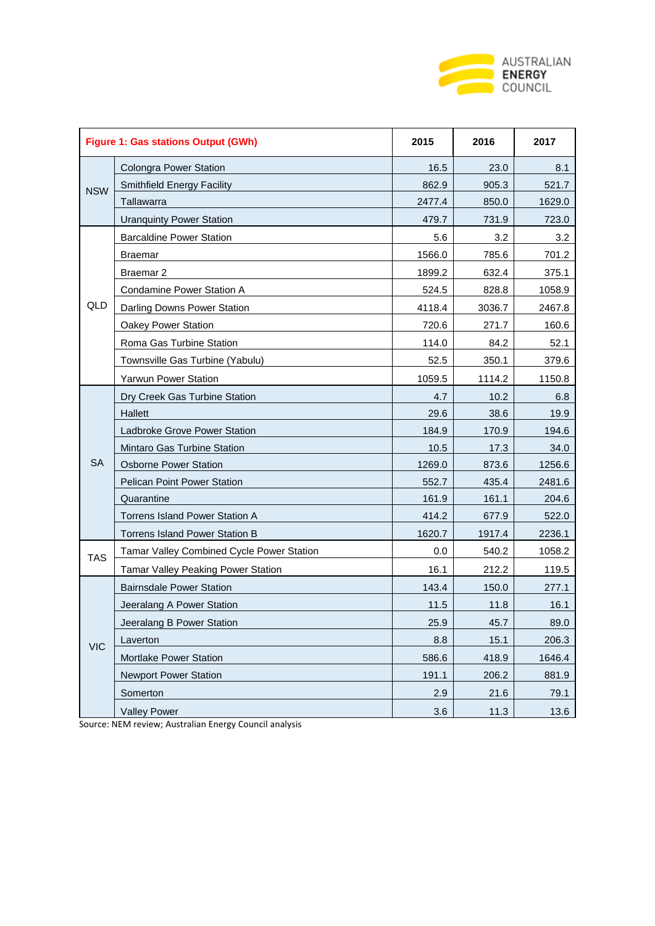

| <b>Figure 1: Gas stations Output (GWh)</b> |                                           | 2015   | 2016   | 2017   |
|--------------------------------------------|-------------------------------------------|--------|--------|--------|
| <b>NSW</b>                                 | <b>Colongra Power Station</b>             | 16.5   | 23.0   | 8.1    |
|                                            | Smithfield Energy Facility                | 862.9  | 905.3  | 521.7  |
|                                            | Tallawarra                                | 2477.4 | 850.0  | 1629.0 |
|                                            | <b>Uranquinty Power Station</b>           | 479.7  | 731.9  | 723.0  |
|                                            | <b>Barcaldine Power Station</b>           | 5.6    | 3.2    | 3.2    |
|                                            | Braemar                                   | 1566.0 | 785.6  | 701.2  |
|                                            | Braemar <sub>2</sub>                      | 1899.2 | 632.4  | 375.1  |
|                                            | Condamine Power Station A                 | 524.5  | 828.8  | 1058.9 |
| QLD                                        | Darling Downs Power Station               | 4118.4 | 3036.7 | 2467.8 |
|                                            | Oakey Power Station                       | 720.6  | 271.7  | 160.6  |
|                                            | Roma Gas Turbine Station                  | 114.0  | 84.2   | 52.1   |
|                                            | Townsville Gas Turbine (Yabulu)           | 52.5   | 350.1  | 379.6  |
|                                            | <b>Yarwun Power Station</b>               | 1059.5 | 1114.2 | 1150.8 |
|                                            | Dry Creek Gas Turbine Station             | 4.7    | 10.2   | 6.8    |
|                                            | <b>Hallett</b>                            | 29.6   | 38.6   | 19.9   |
|                                            | Ladbroke Grove Power Station              | 184.9  | 170.9  | 194.6  |
|                                            | Mintaro Gas Turbine Station               | 10.5   | 17.3   | 34.0   |
| <b>SA</b>                                  | <b>Osborne Power Station</b>              | 1269.0 | 873.6  | 1256.6 |
|                                            | <b>Pelican Point Power Station</b>        | 552.7  | 435.4  | 2481.6 |
|                                            | Quarantine                                | 161.9  | 161.1  | 204.6  |
|                                            | <b>Torrens Island Power Station A</b>     | 414.2  | 677.9  | 522.0  |
|                                            | <b>Torrens Island Power Station B</b>     | 1620.7 | 1917.4 | 2236.1 |
| <b>TAS</b>                                 | Tamar Valley Combined Cycle Power Station | 0.0    | 540.2  | 1058.2 |
|                                            | Tamar Valley Peaking Power Station        | 16.1   | 212.2  | 119.5  |
|                                            | <b>Bairnsdale Power Station</b>           | 143.4  | 150.0  | 277.1  |
|                                            | Jeeralang A Power Station                 | 11.5   | 11.8   | 16.1   |
|                                            | Jeeralang B Power Station                 | 25.9   | 45.7   | 89.0   |
| <b>VIC</b>                                 | Laverton                                  | 8.8    | 15.1   | 206.3  |
|                                            | Mortlake Power Station                    | 586.6  | 418.9  | 1646.4 |
|                                            | <b>Newport Power Station</b>              | 191.1  | 206.2  | 881.9  |
|                                            | Somerton                                  | 2.9    | 21.6   | 79.1   |
|                                            | <b>Valley Power</b>                       | 3.6    | 11.3   | 13.6   |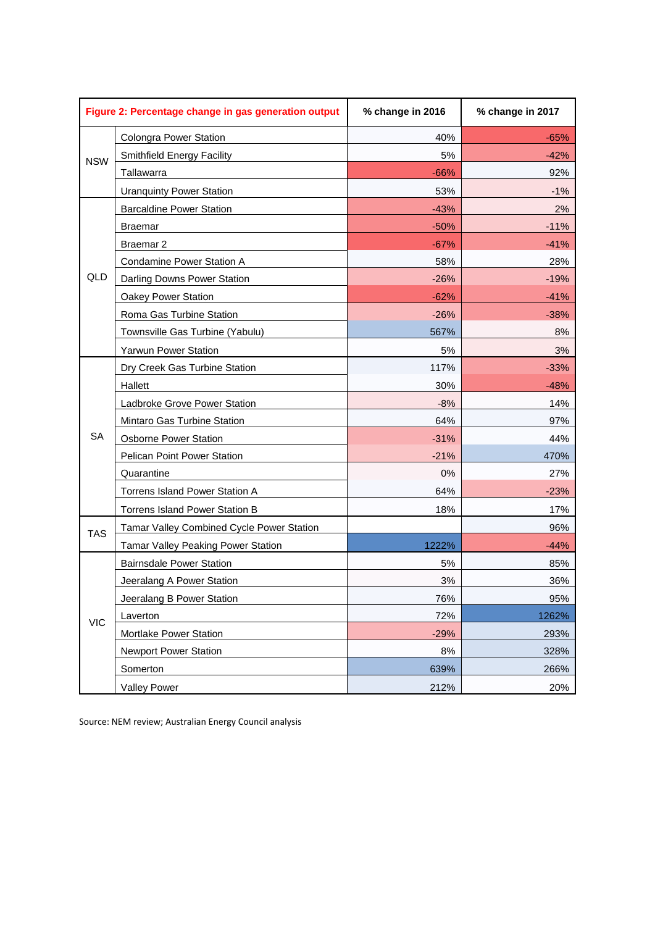| Figure 2: Percentage change in gas generation output |                                           | % change in 2016 | % change in 2017 |  |
|------------------------------------------------------|-------------------------------------------|------------------|------------------|--|
| <b>NSW</b>                                           | <b>Colongra Power Station</b>             | 40%              | $-65%$           |  |
|                                                      | Smithfield Energy Facility                | 5%               | $-42%$           |  |
|                                                      | Tallawarra                                | $-66%$           | 92%              |  |
|                                                      | <b>Uranquinty Power Station</b>           | 53%              | $-1%$            |  |
|                                                      | <b>Barcaldine Power Station</b>           | $-43%$           | 2%               |  |
|                                                      | <b>Braemar</b>                            | $-50%$           | $-11%$           |  |
|                                                      | Braemar <sub>2</sub>                      | $-67%$           | $-41%$           |  |
|                                                      | Condamine Power Station A                 | 58%              | 28%              |  |
| QLD                                                  | Darling Downs Power Station               | $-26%$           | $-19%$           |  |
|                                                      | Oakey Power Station                       | $-62%$           | $-41%$           |  |
|                                                      | Roma Gas Turbine Station                  | $-26%$           | $-38%$           |  |
|                                                      | Townsville Gas Turbine (Yabulu)           | 567%             | 8%               |  |
|                                                      | <b>Yarwun Power Station</b>               | 5%               | 3%               |  |
|                                                      | Dry Creek Gas Turbine Station             | 117%             | $-33%$           |  |
|                                                      | Hallett                                   | 30%              | $-48%$           |  |
|                                                      | Ladbroke Grove Power Station              | $-8%$            | 14%              |  |
|                                                      | Mintaro Gas Turbine Station               | 64%              | 97%              |  |
| <b>SA</b>                                            | <b>Osborne Power Station</b>              | $-31%$           | 44%              |  |
|                                                      | Pelican Point Power Station               | $-21%$           | 470%             |  |
|                                                      | Quarantine                                | 0%               | 27%              |  |
|                                                      | Torrens Island Power Station A            | 64%              | $-23%$           |  |
|                                                      | Torrens Island Power Station B            | 18%              | 17%              |  |
| <b>TAS</b>                                           | Tamar Valley Combined Cycle Power Station |                  | 96%              |  |
|                                                      | Tamar Valley Peaking Power Station        | 1222%            | $-44%$           |  |
|                                                      | <b>Bairnsdale Power Station</b>           | 5%               | 85%              |  |
| <b>VIC</b>                                           | Jeeralang A Power Station                 | 3%               | 36%              |  |
|                                                      | Jeeralang B Power Station                 | 76%              | 95%              |  |
|                                                      | Laverton                                  | 72%              | 1262%            |  |
|                                                      | Mortlake Power Station                    | $-29%$           | 293%             |  |
|                                                      | <b>Newport Power Station</b>              | 8%               | 328%             |  |
|                                                      | Somerton                                  | 639%             | 266%             |  |
|                                                      | <b>Valley Power</b>                       | 212%             | 20%              |  |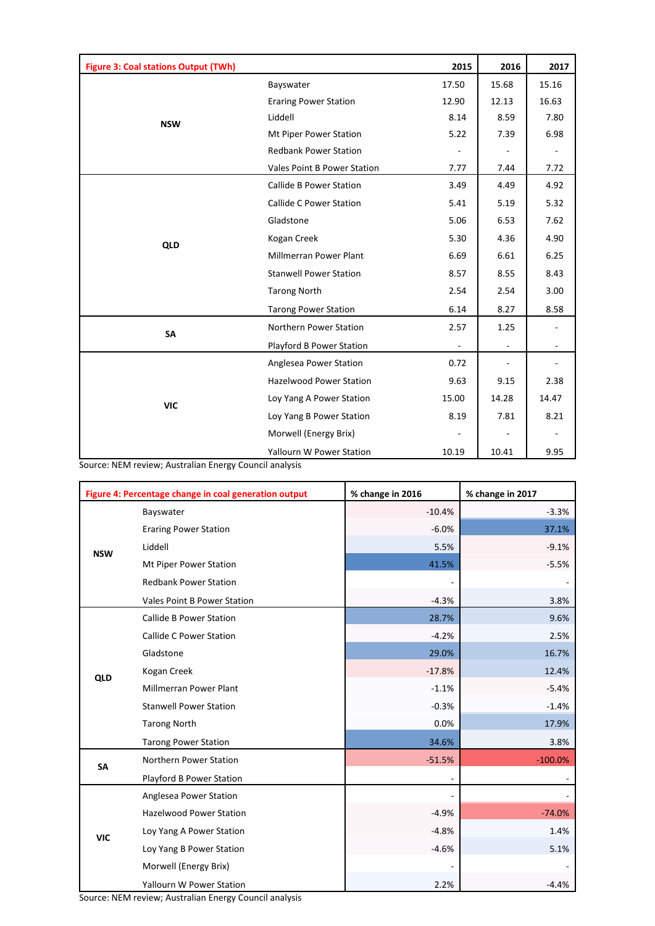| <b>Figure 3: Coal stations Output (TWh)</b> |                                | 2015  | 2016  | 2017  |
|---------------------------------------------|--------------------------------|-------|-------|-------|
|                                             | Bayswater                      | 17.50 | 15.68 | 15.16 |
|                                             | <b>Eraring Power Station</b>   | 12.90 | 12.13 | 16.63 |
| <b>NSW</b>                                  | Liddell                        | 8.14  | 8.59  | 7.80  |
|                                             | Mt Piper Power Station         | 5.22  | 7.39  | 6.98  |
|                                             | <b>Redbank Power Station</b>   |       |       |       |
|                                             | Vales Point B Power Station    | 7.77  | 7.44  | 7.72  |
|                                             | <b>Callide B Power Station</b> | 3.49  | 4.49  | 4.92  |
|                                             | <b>Callide C Power Station</b> | 5.41  | 5.19  | 5.32  |
|                                             | Gladstone                      | 5.06  | 6.53  | 7.62  |
| <b>QLD</b>                                  | Kogan Creek                    | 5.30  | 4.36  | 4.90  |
|                                             | Millmerran Power Plant         | 6.69  | 6.61  | 6.25  |
|                                             | <b>Stanwell Power Station</b>  | 8.57  | 8.55  | 8.43  |
|                                             | <b>Tarong North</b>            | 2.54  | 2.54  | 3.00  |
|                                             | <b>Tarong Power Station</b>    | 6.14  | 8.27  | 8.58  |
| SA                                          | Northern Power Station         | 2.57  | 1.25  |       |
|                                             | Playford B Power Station       | ÷,    |       |       |
|                                             | Anglesea Power Station         | 0.72  |       |       |
|                                             | <b>Hazelwood Power Station</b> | 9.63  | 9.15  | 2.38  |
| <b>VIC</b>                                  | Loy Yang A Power Station       | 15.00 | 14.28 | 14.47 |
|                                             | Loy Yang B Power Station       | 8.19  | 7.81  | 8.21  |
|                                             | Morwell (Energy Brix)          |       |       |       |
|                                             | Yallourn W Power Station       | 10.19 | 10.41 | 9.95  |

Source: NEM review; Australian Energy Council analysis

| Figure 4: Percentage change in coal generation output |                                 | % change in 2016 | % change in 2017 |  |
|-------------------------------------------------------|---------------------------------|------------------|------------------|--|
|                                                       | Bayswater                       | $-10.4%$         | $-3.3%$          |  |
|                                                       | <b>Eraring Power Station</b>    | $-6.0%$          | 37.1%            |  |
| <b>NSW</b>                                            | Liddell                         | 5.5%             | $-9.1%$          |  |
|                                                       | Mt Piper Power Station          | 41.5%            | $-5.5%$          |  |
|                                                       | <b>Redbank Power Station</b>    | ۰                |                  |  |
|                                                       | Vales Point B Power Station     | $-4.3%$          | 3.8%             |  |
|                                                       | <b>Callide B Power Station</b>  | 28.7%            | 9.6%             |  |
|                                                       | <b>Callide C Power Station</b>  | $-4.2%$          | 2.5%             |  |
|                                                       | Gladstone                       | 29.0%            | 16.7%            |  |
| QLD                                                   | Kogan Creek                     | $-17.8%$         | 12.4%            |  |
|                                                       | <b>Millmerran Power Plant</b>   | $-1.1%$          | $-5.4%$          |  |
|                                                       | <b>Stanwell Power Station</b>   | $-0.3%$          | $-1.4%$          |  |
|                                                       | <b>Tarong North</b>             | 0.0%             | 17.9%            |  |
|                                                       | <b>Tarong Power Station</b>     | 34.6%            | 3.8%             |  |
| <b>SA</b>                                             | Northern Power Station          | $-51.5%$         | $-100.0%$        |  |
|                                                       | Playford B Power Station        | -                |                  |  |
|                                                       | Anglesea Power Station          | ÷.               | $\sim$           |  |
|                                                       | <b>Hazelwood Power Station</b>  | $-4.9%$          | $-74.0%$         |  |
| <b>VIC</b>                                            | Loy Yang A Power Station        | $-4.8%$          | 1.4%             |  |
|                                                       | Loy Yang B Power Station        | $-4.6%$          | 5.1%             |  |
|                                                       | Morwell (Energy Brix)           | $\overline{a}$   |                  |  |
|                                                       | <b>Yallourn W Power Station</b> | 2.2%             | $-4.4%$          |  |